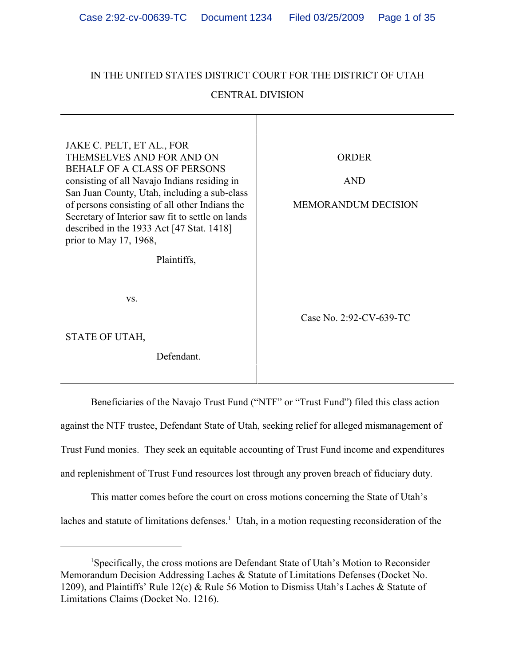# IN THE UNITED STATES DISTRICT COURT FOR THE DISTRICT OF UTAH

# CENTRAL DIVISION

| JAKE C. PELT, ET AL., FOR<br>THEMSELVES AND FOR AND ON<br><b>BEHALF OF A CLASS OF PERSONS</b><br>consisting of all Navajo Indians residing in<br>San Juan County, Utah, including a sub-class<br>of persons consisting of all other Indians the<br>Secretary of Interior saw fit to settle on lands<br>described in the 1933 Act [47 Stat. 1418]<br>prior to May 17, 1968, | <b>ORDER</b><br><b>AND</b><br><b>MEMORANDUM DECISION</b> |
|----------------------------------------------------------------------------------------------------------------------------------------------------------------------------------------------------------------------------------------------------------------------------------------------------------------------------------------------------------------------------|----------------------------------------------------------|
| Plaintiffs,                                                                                                                                                                                                                                                                                                                                                                |                                                          |
| VS.                                                                                                                                                                                                                                                                                                                                                                        | Case No. 2:92-CV-639-TC                                  |
| STATE OF UTAH,                                                                                                                                                                                                                                                                                                                                                             |                                                          |
| Defendant.                                                                                                                                                                                                                                                                                                                                                                 |                                                          |

Beneficiaries of the Navajo Trust Fund ("NTF" or "Trust Fund") filed this class action against the NTF trustee, Defendant State of Utah, seeking relief for alleged mismanagement of Trust Fund monies. They seek an equitable accounting of Trust Fund income and expenditures and replenishment of Trust Fund resources lost through any proven breach of fiduciary duty.

This matter comes before the court on cross motions concerning the State of Utah's laches and statute of limitations defenses.<sup>1</sup> Utah, in a motion requesting reconsideration of the

<sup>&</sup>lt;sup>1</sup>Specifically, the cross motions are Defendant State of Utah's Motion to Reconsider Memorandum Decision Addressing Laches & Statute of Limitations Defenses (Docket No. 1209), and Plaintiffs' Rule 12(c) & Rule 56 Motion to Dismiss Utah's Laches & Statute of Limitations Claims (Docket No. 1216).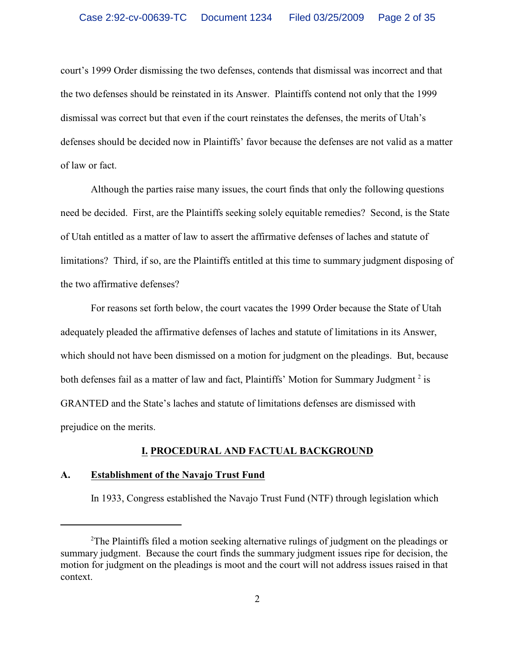court's 1999 Order dismissing the two defenses, contends that dismissal was incorrect and that the two defenses should be reinstated in its Answer. Plaintiffs contend not only that the 1999 dismissal was correct but that even if the court reinstates the defenses, the merits of Utah's defenses should be decided now in Plaintiffs' favor because the defenses are not valid as a matter of law or fact.

Although the parties raise many issues, the court finds that only the following questions need be decided. First, are the Plaintiffs seeking solely equitable remedies? Second, is the State of Utah entitled as a matter of law to assert the affirmative defenses of laches and statute of limitations? Third, if so, are the Plaintiffs entitled at this time to summary judgment disposing of the two affirmative defenses?

For reasons set forth below, the court vacates the 1999 Order because the State of Utah adequately pleaded the affirmative defenses of laches and statute of limitations in its Answer, which should not have been dismissed on a motion for judgment on the pleadings. But, because both defenses fail as a matter of law and fact, Plaintiffs' Motion for Summary Judgment<sup>2</sup> is GRANTED and the State's laches and statute of limitations defenses are dismissed with prejudice on the merits.

### **I. PROCEDURAL AND FACTUAL BACKGROUND**

# **A. Establishment of the Navajo Trust Fund**

In 1933, Congress established the Navajo Trust Fund (NTF) through legislation which

<sup>&</sup>lt;sup>2</sup>The Plaintiffs filed a motion seeking alternative rulings of judgment on the pleadings or summary judgment. Because the court finds the summary judgment issues ripe for decision, the motion for judgment on the pleadings is moot and the court will not address issues raised in that context.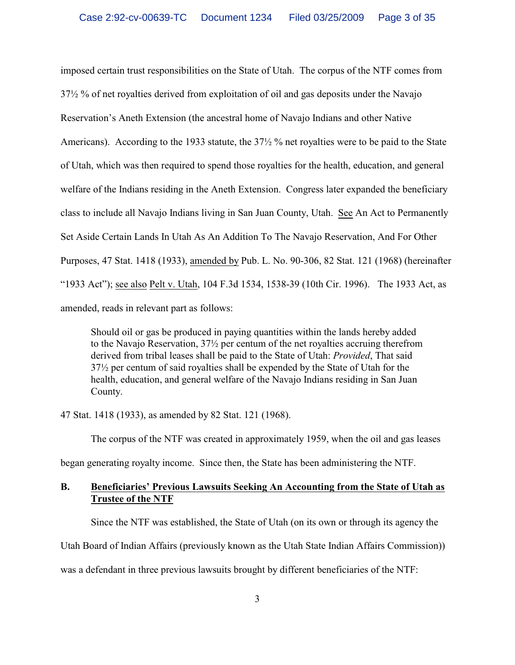imposed certain trust responsibilities on the State of Utah. The corpus of the NTF comes from 37½ % of net royalties derived from exploitation of oil and gas deposits under the Navajo Reservation's Aneth Extension (the ancestral home of Navajo Indians and other Native Americans). According to the 1933 statute, the 37½ % net royalties were to be paid to the State of Utah, which was then required to spend those royalties for the health, education, and general welfare of the Indians residing in the Aneth Extension. Congress later expanded the beneficiary class to include all Navajo Indians living in San Juan County, Utah. See An Act to Permanently Set Aside Certain Lands In Utah As An Addition To The Navajo Reservation, And For Other Purposes, 47 Stat. 1418 (1933), amended by Pub. L. No. 90-306, 82 Stat. 121 (1968) (hereinafter "1933 Act"); see also Pelt v. Utah, 104 F.3d 1534, 1538-39 (10th Cir. 1996). The 1933 Act, as amended, reads in relevant part as follows:

Should oil or gas be produced in paying quantities within the lands hereby added to the Navajo Reservation, 37½ per centum of the net royalties accruing therefrom derived from tribal leases shall be paid to the State of Utah: *Provided*, That said 37½ per centum of said royalties shall be expended by the State of Utah for the health, education, and general welfare of the Navajo Indians residing in San Juan County.

47 Stat. 1418 (1933), as amended by 82 Stat. 121 (1968).

The corpus of the NTF was created in approximately 1959, when the oil and gas leases

began generating royalty income. Since then, the State has been administering the NTF.

# **B. Beneficiaries' Previous Lawsuits Seeking An Accounting from the State of Utah as Trustee of the NTF**

Since the NTF was established, the State of Utah (on its own or through its agency the

Utah Board of Indian Affairs (previously known as the Utah State Indian Affairs Commission))

was a defendant in three previous lawsuits brought by different beneficiaries of the NTF: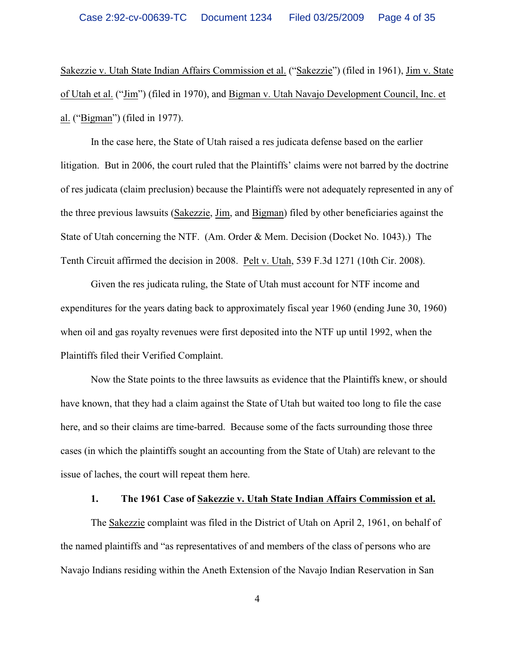Sakezzie v. Utah State Indian Affairs Commission et al. ("Sakezzie") (filed in 1961), Jim v. State of Utah et al. ("Jim") (filed in 1970), and Bigman v. Utah Navajo Development Council, Inc. et al. ("Bigman") (filed in 1977).

In the case here, the State of Utah raised a res judicata defense based on the earlier litigation. But in 2006, the court ruled that the Plaintiffs' claims were not barred by the doctrine of res judicata (claim preclusion) because the Plaintiffs were not adequately represented in any of the three previous lawsuits (Sakezzie, Jim, and Bigman) filed by other beneficiaries against the State of Utah concerning the NTF. (Am. Order & Mem. Decision (Docket No. 1043).) The Tenth Circuit affirmed the decision in 2008. Pelt v. Utah, 539 F.3d 1271 (10th Cir. 2008).

Given the res judicata ruling, the State of Utah must account for NTF income and expenditures for the years dating back to approximately fiscal year 1960 (ending June 30, 1960) when oil and gas royalty revenues were first deposited into the NTF up until 1992, when the Plaintiffs filed their Verified Complaint.

Now the State points to the three lawsuits as evidence that the Plaintiffs knew, or should have known, that they had a claim against the State of Utah but waited too long to file the case here, and so their claims are time-barred. Because some of the facts surrounding those three cases (in which the plaintiffs sought an accounting from the State of Utah) are relevant to the issue of laches, the court will repeat them here.

#### **1. The 1961 Case of Sakezzie v. Utah State Indian Affairs Commission et al.**

The Sakezzie complaint was filed in the District of Utah on April 2, 1961, on behalf of the named plaintiffs and "as representatives of and members of the class of persons who are Navajo Indians residing within the Aneth Extension of the Navajo Indian Reservation in San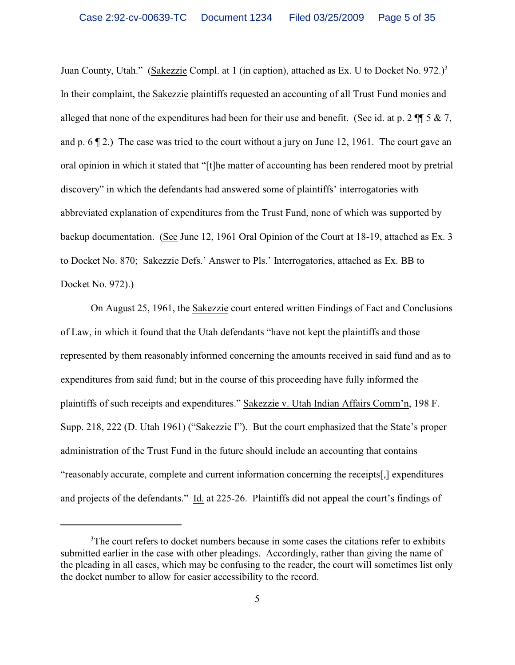Juan County, Utah." (Sakezzie Compl. at 1 (in caption), attached as Ex. U to Docket No. 972.)<sup>3</sup> In their complaint, the Sakezzie plaintiffs requested an accounting of all Trust Fund monies and alleged that none of the expenditures had been for their use and benefit. (See id. at p. 2 ¶¶ 5 & 7, and p. 6 ¶ 2.) The case was tried to the court without a jury on June 12, 1961. The court gave an oral opinion in which it stated that "[t]he matter of accounting has been rendered moot by pretrial discovery" in which the defendants had answered some of plaintiffs' interrogatories with abbreviated explanation of expenditures from the Trust Fund, none of which was supported by backup documentation. (See June 12, 1961 Oral Opinion of the Court at 18-19, attached as Ex. 3 to Docket No. 870; Sakezzie Defs.' Answer to Pls.' Interrogatories, attached as Ex. BB to Docket No. 972).)

On August 25, 1961, the Sakezzie court entered written Findings of Fact and Conclusions of Law, in which it found that the Utah defendants "have not kept the plaintiffs and those represented by them reasonably informed concerning the amounts received in said fund and as to expenditures from said fund; but in the course of this proceeding have fully informed the plaintiffs of such receipts and expenditures." Sakezzie v. Utah Indian Affairs Comm'n, 198 F. Supp. 218, 222 (D. Utah 1961) ("Sakezzie I"). But the court emphasized that the State's proper administration of the Trust Fund in the future should include an accounting that contains "reasonably accurate, complete and current information concerning the receipts[,] expenditures and projects of the defendants." Id. at 225-26. Plaintiffs did not appeal the court's findings of

<sup>&</sup>lt;sup>3</sup>The court refers to docket numbers because in some cases the citations refer to exhibits submitted earlier in the case with other pleadings. Accordingly, rather than giving the name of the pleading in all cases, which may be confusing to the reader, the court will sometimes list only the docket number to allow for easier accessibility to the record.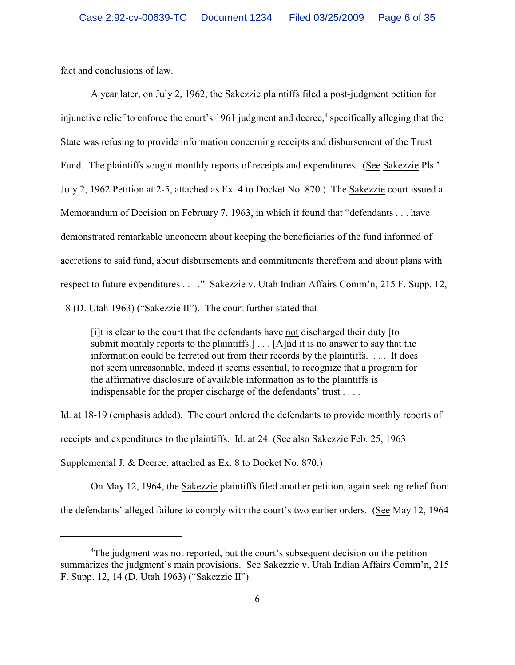fact and conclusions of law.

A year later, on July 2, 1962, the Sakezzie plaintiffs filed a post-judgment petition for injunctive relief to enforce the court's 1961 judgment and decree, $\alpha$  specifically alleging that the State was refusing to provide information concerning receipts and disbursement of the Trust Fund. The plaintiffs sought monthly reports of receipts and expenditures. (See Sakezzie Pls.' July 2, 1962 Petition at 2-5, attached as Ex. 4 to Docket No. 870.) The Sakezzie court issued a Memorandum of Decision on February 7, 1963, in which it found that "defendants . . . have demonstrated remarkable unconcern about keeping the beneficiaries of the fund informed of accretions to said fund, about disbursements and commitments therefrom and about plans with respect to future expenditures . . . ." Sakezzie v. Utah Indian Affairs Comm'n, 215 F. Supp. 12, 18 (D. Utah 1963) ("Sakezzie II"). The court further stated that

[i]t is clear to the court that the defendants have not discharged their duty [to submit monthly reports to the plaintiffs.] . . . [A]nd it is no answer to say that the information could be ferreted out from their records by the plaintiffs. . . . It does not seem unreasonable, indeed it seems essential, to recognize that a program for the affirmative disclosure of available information as to the plaintiffs is indispensable for the proper discharge of the defendants' trust . . . .

Id. at 18-19 (emphasis added). The court ordered the defendants to provide monthly reports of receipts and expenditures to the plaintiffs. Id. at 24. (See also Sakezzie Feb. 25, 1963 Supplemental J. & Decree, attached as Ex. 8 to Docket No. 870.)

On May 12, 1964, the Sakezzie plaintiffs filed another petition, again seeking relief from the defendants' alleged failure to comply with the court's two earlier orders. (See May 12, 1964

<sup>&</sup>lt;sup>4</sup>The judgment was not reported, but the court's subsequent decision on the petition summarizes the judgment's main provisions. See Sakezzie v. Utah Indian Affairs Comm'n, 215 F. Supp. 12, 14 (D. Utah 1963) ("Sakezzie II").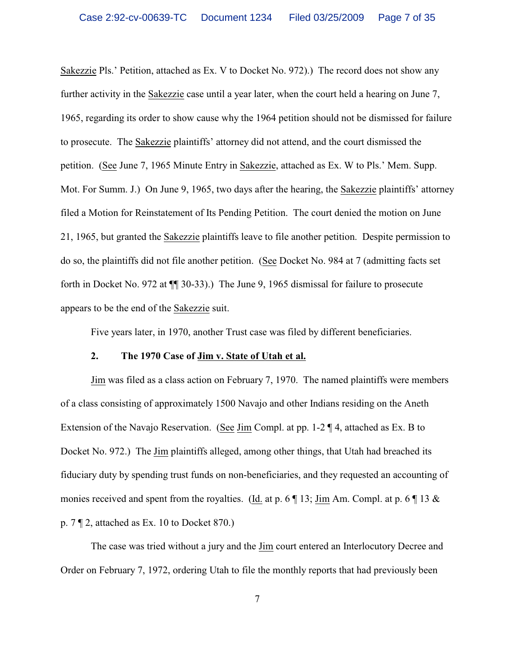Sakezzie Pls.' Petition, attached as Ex. V to Docket No. 972).) The record does not show any further activity in the Sakezzie case until a year later, when the court held a hearing on June 7, 1965, regarding its order to show cause why the 1964 petition should not be dismissed for failure to prosecute. The Sakezzie plaintiffs' attorney did not attend, and the court dismissed the petition. (See June 7, 1965 Minute Entry in Sakezzie, attached as Ex. W to Pls.' Mem. Supp. Mot. For Summ. J.) On June 9, 1965, two days after the hearing, the Sakezzie plaintiffs' attorney filed a Motion for Reinstatement of Its Pending Petition. The court denied the motion on June 21, 1965, but granted the Sakezzie plaintiffs leave to file another petition. Despite permission to do so, the plaintiffs did not file another petition. (See Docket No. 984 at 7 (admitting facts set forth in Docket No. 972 at ¶¶ 30-33).) The June 9, 1965 dismissal for failure to prosecute appears to be the end of the Sakezzie suit.

Five years later, in 1970, another Trust case was filed by different beneficiaries.

## **2. The 1970 Case of Jim v. State of Utah et al.**

Jim was filed as a class action on February 7, 1970. The named plaintiffs were members of a class consisting of approximately 1500 Navajo and other Indians residing on the Aneth Extension of the Navajo Reservation. (See Jim Compl. at pp. 1-2 ¶ 4, attached as Ex. B to Docket No. 972.) The Jim plaintiffs alleged, among other things, that Utah had breached its fiduciary duty by spending trust funds on non-beneficiaries, and they requested an accounting of monies received and spent from the royalties. (Id. at p. 6  $\P$  13; Jim Am. Compl. at p. 6  $\P$  13  $\&$ p. 7 ¶ 2, attached as Ex. 10 to Docket 870.)

The case was tried without a jury and the Jim court entered an Interlocutory Decree and Order on February 7, 1972, ordering Utah to file the monthly reports that had previously been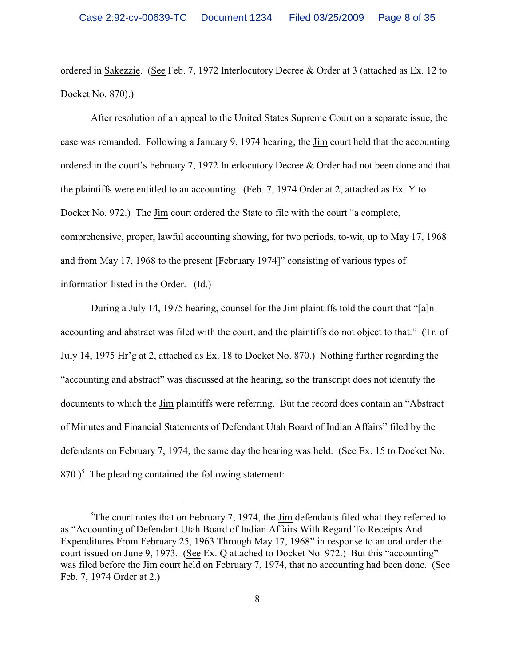ordered in Sakezzie. (See Feb. 7, 1972 Interlocutory Decree & Order at 3 (attached as Ex. 12 to Docket No. 870).)

After resolution of an appeal to the United States Supreme Court on a separate issue, the case was remanded. Following a January 9, 1974 hearing, the Jim court held that the accounting ordered in the court's February 7, 1972 Interlocutory Decree & Order had not been done and that the plaintiffs were entitled to an accounting. (Feb. 7, 1974 Order at 2, attached as Ex. Y to Docket No. 972.) The Jim court ordered the State to file with the court "a complete, comprehensive, proper, lawful accounting showing, for two periods, to-wit, up to May 17, 1968 and from May 17, 1968 to the present [February 1974]" consisting of various types of information listed in the Order. (Id.)

During a July 14, 1975 hearing, counsel for the Jim plaintiffs told the court that "[a]n accounting and abstract was filed with the court, and the plaintiffs do not object to that." (Tr. of July 14, 1975 Hr'g at 2, attached as Ex. 18 to Docket No. 870.) Nothing further regarding the "accounting and abstract" was discussed at the hearing, so the transcript does not identify the documents to which the Jim plaintiffs were referring. But the record does contain an "Abstract of Minutes and Financial Statements of Defendant Utah Board of Indian Affairs" filed by the defendants on February 7, 1974, the same day the hearing was held. (See Ex. 15 to Docket No.  $870$ .)<sup>5</sup> The pleading contained the following statement:

 $5$ The court notes that on February 7, 1974, the Jim defendants filed what they referred to as "Accounting of Defendant Utah Board of Indian Affairs With Regard To Receipts And Expenditures From February 25, 1963 Through May 17, 1968" in response to an oral order the court issued on June 9, 1973. (See Ex. Q attached to Docket No. 972.) But this "accounting" was filed before the Jim court held on February 7, 1974, that no accounting had been done. (See Feb. 7, 1974 Order at 2.)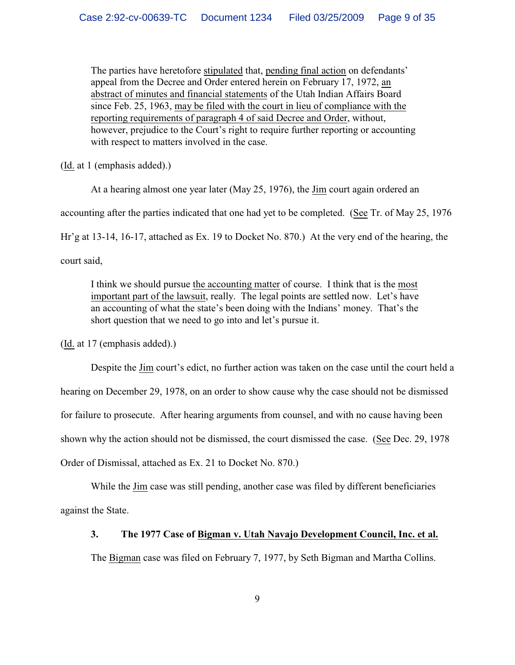The parties have heretofore stipulated that, pending final action on defendants' appeal from the Decree and Order entered herein on February 17, 1972, an abstract of minutes and financial statements of the Utah Indian Affairs Board since Feb. 25, 1963, may be filed with the court in lieu of compliance with the reporting requirements of paragraph 4 of said Decree and Order, without, however, prejudice to the Court's right to require further reporting or accounting with respect to matters involved in the case.

(Id. at 1 (emphasis added).)

At a hearing almost one year later (May 25, 1976), the Jim court again ordered an

accounting after the parties indicated that one had yet to be completed. (See Tr. of May 25, 1976

Hr'g at 13-14, 16-17, attached as Ex. 19 to Docket No. 870.) At the very end of the hearing, the

court said,

I think we should pursue the accounting matter of course. I think that is the most important part of the lawsuit, really. The legal points are settled now. Let's have an accounting of what the state's been doing with the Indians' money. That's the short question that we need to go into and let's pursue it.

(Id. at 17 (emphasis added).)

Despite the Jim court's edict, no further action was taken on the case until the court held a hearing on December 29, 1978, on an order to show cause why the case should not be dismissed for failure to prosecute. After hearing arguments from counsel, and with no cause having been shown why the action should not be dismissed, the court dismissed the case. (See Dec. 29, 1978 Order of Dismissal, attached as Ex. 21 to Docket No. 870.)

While the Jim case was still pending, another case was filed by different beneficiaries against the State.

### **3. The 1977 Case of Bigman v. Utah Navajo Development Council, Inc. et al.**

The Bigman case was filed on February 7, 1977, by Seth Bigman and Martha Collins.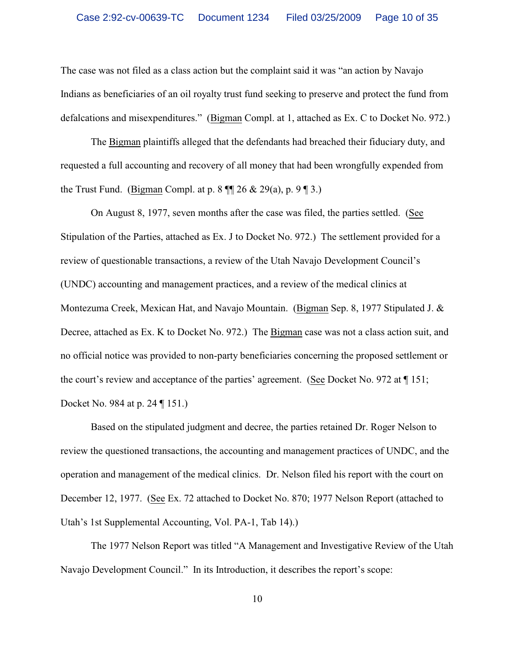The case was not filed as a class action but the complaint said it was "an action by Navajo Indians as beneficiaries of an oil royalty trust fund seeking to preserve and protect the fund from defalcations and misexpenditures." (Bigman Compl. at 1, attached as Ex. C to Docket No. 972.)

The Bigman plaintiffs alleged that the defendants had breached their fiduciary duty, and requested a full accounting and recovery of all money that had been wrongfully expended from the Trust Fund. (Bigman Compl. at p. 8  $\P$  26 & 29(a), p. 9  $\P$  3.)

On August 8, 1977, seven months after the case was filed, the parties settled. (See Stipulation of the Parties, attached as Ex. J to Docket No. 972.) The settlement provided for a review of questionable transactions, a review of the Utah Navajo Development Council's (UNDC) accounting and management practices, and a review of the medical clinics at Montezuma Creek, Mexican Hat, and Navajo Mountain. (Bigman Sep. 8, 1977 Stipulated J. & Decree, attached as Ex. K to Docket No. 972.) The Bigman case was not a class action suit, and no official notice was provided to non-party beneficiaries concerning the proposed settlement or the court's review and acceptance of the parties' agreement. (See Docket No. 972 at ¶ 151; Docket No. 984 at p. 24 ¶ 151.)

Based on the stipulated judgment and decree, the parties retained Dr. Roger Nelson to review the questioned transactions, the accounting and management practices of UNDC, and the operation and management of the medical clinics. Dr. Nelson filed his report with the court on December 12, 1977. (See Ex. 72 attached to Docket No. 870; 1977 Nelson Report (attached to Utah's 1st Supplemental Accounting, Vol. PA-1, Tab 14).)

The 1977 Nelson Report was titled "A Management and Investigative Review of the Utah Navajo Development Council." In its Introduction, it describes the report's scope: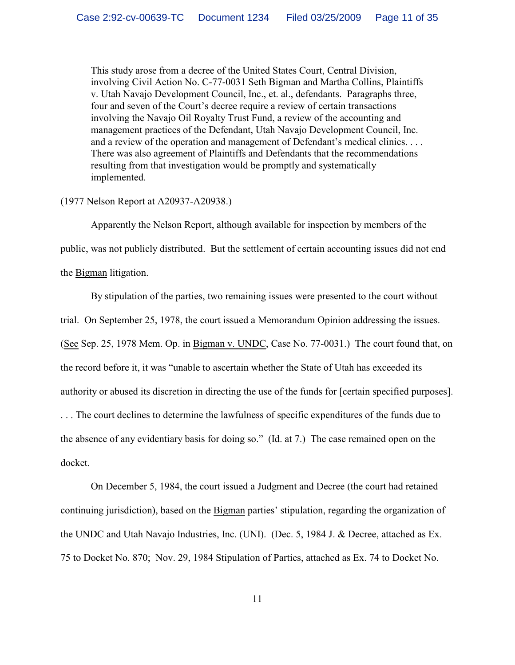This study arose from a decree of the United States Court, Central Division, involving Civil Action No. C-77-0031 Seth Bigman and Martha Collins, Plaintiffs v. Utah Navajo Development Council, Inc., et. al., defendants. Paragraphs three, four and seven of the Court's decree require a review of certain transactions involving the Navajo Oil Royalty Trust Fund, a review of the accounting and management practices of the Defendant, Utah Navajo Development Council, Inc. and a review of the operation and management of Defendant's medical clinics. . . . There was also agreement of Plaintiffs and Defendants that the recommendations resulting from that investigation would be promptly and systematically implemented.

#### (1977 Nelson Report at A20937-A20938.)

Apparently the Nelson Report, although available for inspection by members of the public, was not publicly distributed. But the settlement of certain accounting issues did not end the Bigman litigation.

By stipulation of the parties, two remaining issues were presented to the court without trial. On September 25, 1978, the court issued a Memorandum Opinion addressing the issues. (See Sep. 25, 1978 Mem. Op. in Bigman v. UNDC, Case No. 77-0031.) The court found that, on the record before it, it was "unable to ascertain whether the State of Utah has exceeded its authority or abused its discretion in directing the use of the funds for [certain specified purposes]. . . . The court declines to determine the lawfulness of specific expenditures of the funds due to the absence of any evidentiary basis for doing so." (Id. at 7.) The case remained open on the docket.

On December 5, 1984, the court issued a Judgment and Decree (the court had retained continuing jurisdiction), based on the Bigman parties' stipulation, regarding the organization of the UNDC and Utah Navajo Industries, Inc. (UNI). (Dec. 5, 1984 J. & Decree, attached as Ex. 75 to Docket No. 870; Nov. 29, 1984 Stipulation of Parties, attached as Ex. 74 to Docket No.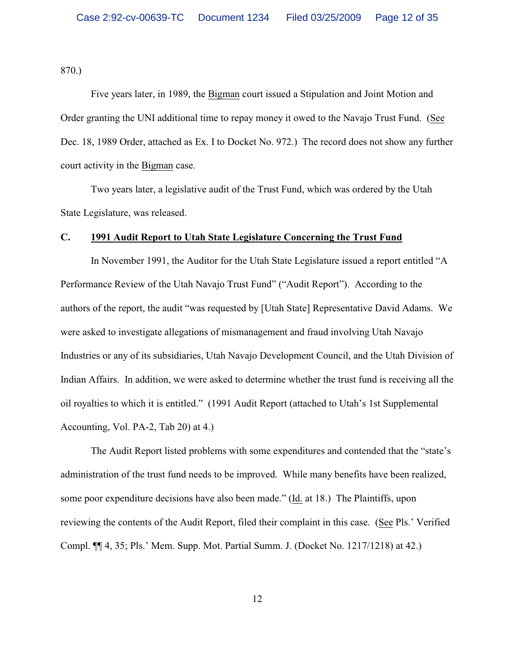870.)

Five years later, in 1989, the Bigman court issued a Stipulation and Joint Motion and Order granting the UNI additional time to repay money it owed to the Navajo Trust Fund. (See Dec. 18, 1989 Order, attached as Ex. I to Docket No. 972.) The record does not show any further court activity in the Bigman case.

Two years later, a legislative audit of the Trust Fund, which was ordered by the Utah State Legislature, was released.

# **C. 1991 Audit Report to Utah State Legislature Concerning the Trust Fund**

In November 1991, the Auditor for the Utah State Legislature issued a report entitled "A Performance Review of the Utah Navajo Trust Fund" ("Audit Report"). According to the authors of the report, the audit "was requested by [Utah State] Representative David Adams. We were asked to investigate allegations of mismanagement and fraud involving Utah Navajo Industries or any of its subsidiaries, Utah Navajo Development Council, and the Utah Division of Indian Affairs. In addition, we were asked to determine whether the trust fund is receiving all the oil royalties to which it is entitled." (1991 Audit Report (attached to Utah's 1st Supplemental Accounting, Vol. PA-2, Tab 20) at 4.)

The Audit Report listed problems with some expenditures and contended that the "state's administration of the trust fund needs to be improved. While many benefits have been realized, some poor expenditure decisions have also been made." (Id. at 18.) The Plaintiffs, upon reviewing the contents of the Audit Report, filed their complaint in this case. (See Pls.' Verified Compl. ¶¶ 4, 35; Pls.' Mem. Supp. Mot. Partial Summ. J. (Docket No. 1217/1218) at 42.)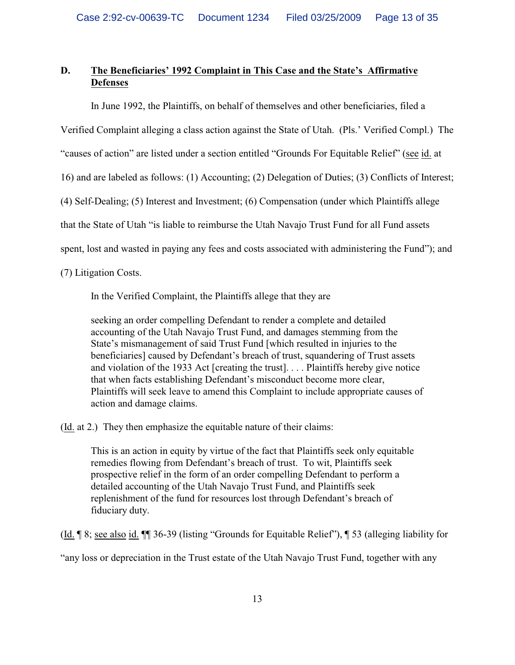# **D. The Beneficiaries' 1992 Complaint in This Case and the State's Affirmative Defenses**

In June 1992, the Plaintiffs, on behalf of themselves and other beneficiaries, filed a

Verified Complaint alleging a class action against the State of Utah. (Pls.' Verified Compl.) The

"causes of action" are listed under a section entitled "Grounds For Equitable Relief" (see id. at

16) and are labeled as follows: (1) Accounting; (2) Delegation of Duties; (3) Conflicts of Interest;

(4) Self-Dealing; (5) Interest and Investment; (6) Compensation (under which Plaintiffs allege

that the State of Utah "is liable to reimburse the Utah Navajo Trust Fund for all Fund assets

spent, lost and wasted in paying any fees and costs associated with administering the Fund"); and

(7) Litigation Costs.

In the Verified Complaint, the Plaintiffs allege that they are

seeking an order compelling Defendant to render a complete and detailed accounting of the Utah Navajo Trust Fund, and damages stemming from the State's mismanagement of said Trust Fund [which resulted in injuries to the beneficiaries] caused by Defendant's breach of trust, squandering of Trust assets and violation of the 1933 Act [creating the trust]. . . . Plaintiffs hereby give notice that when facts establishing Defendant's misconduct become more clear, Plaintiffs will seek leave to amend this Complaint to include appropriate causes of action and damage claims.

(Id. at 2.) They then emphasize the equitable nature of their claims:

This is an action in equity by virtue of the fact that Plaintiffs seek only equitable remedies flowing from Defendant's breach of trust. To wit, Plaintiffs seek prospective relief in the form of an order compelling Defendant to perform a detailed accounting of the Utah Navajo Trust Fund, and Plaintiffs seek replenishment of the fund for resources lost through Defendant's breach of fiduciary duty.

(Id. ¶ 8; see also id. ¶¶ 36-39 (listing "Grounds for Equitable Relief"), ¶ 53 (alleging liability for

"any loss or depreciation in the Trust estate of the Utah Navajo Trust Fund, together with any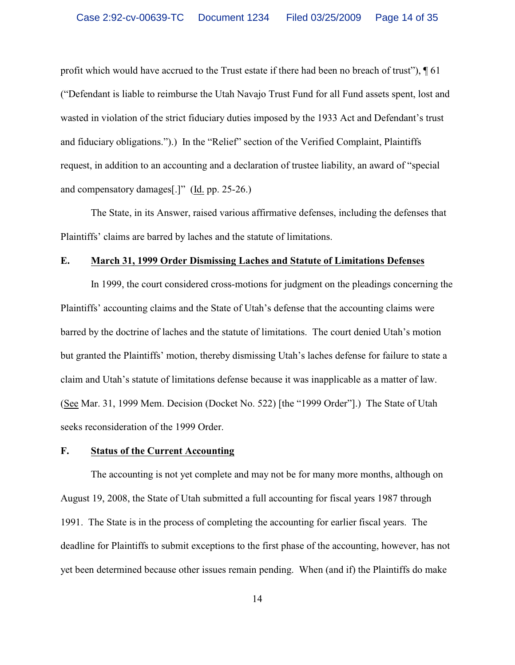profit which would have accrued to the Trust estate if there had been no breach of trust"), ¶ 61 ("Defendant is liable to reimburse the Utah Navajo Trust Fund for all Fund assets spent, lost and wasted in violation of the strict fiduciary duties imposed by the 1933 Act and Defendant's trust and fiduciary obligations.").) In the "Relief" section of the Verified Complaint, Plaintiffs request, in addition to an accounting and a declaration of trustee liability, an award of "special and compensatory damages[.]" (Id. pp. 25-26.)

The State, in its Answer, raised various affirmative defenses, including the defenses that Plaintiffs' claims are barred by laches and the statute of limitations.

# **E. March 31, 1999 Order Dismissing Laches and Statute of Limitations Defenses**

In 1999, the court considered cross-motions for judgment on the pleadings concerning the Plaintiffs' accounting claims and the State of Utah's defense that the accounting claims were barred by the doctrine of laches and the statute of limitations. The court denied Utah's motion but granted the Plaintiffs' motion, thereby dismissing Utah's laches defense for failure to state a claim and Utah's statute of limitations defense because it was inapplicable as a matter of law. (See Mar. 31, 1999 Mem. Decision (Docket No. 522) [the "1999 Order"].) The State of Utah seeks reconsideration of the 1999 Order.

# **F. Status of the Current Accounting**

The accounting is not yet complete and may not be for many more months, although on August 19, 2008, the State of Utah submitted a full accounting for fiscal years 1987 through 1991. The State is in the process of completing the accounting for earlier fiscal years. The deadline for Plaintiffs to submit exceptions to the first phase of the accounting, however, has not yet been determined because other issues remain pending. When (and if) the Plaintiffs do make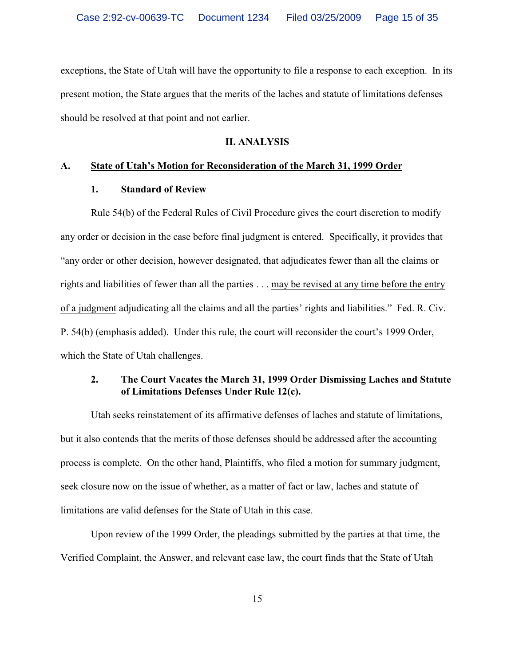exceptions, the State of Utah will have the opportunity to file a response to each exception. In its present motion, the State argues that the merits of the laches and statute of limitations defenses should be resolved at that point and not earlier.

#### **II. ANALYSIS**

### **A. State of Utah's Motion for Reconsideration of the March 31, 1999 Order**

## **1. Standard of Review**

Rule 54(b) of the Federal Rules of Civil Procedure gives the court discretion to modify any order or decision in the case before final judgment is entered. Specifically, it provides that "any order or other decision, however designated, that adjudicates fewer than all the claims or rights and liabilities of fewer than all the parties . . . may be revised at any time before the entry of a judgment adjudicating all the claims and all the parties' rights and liabilities." Fed. R. Civ. P. 54(b) (emphasis added). Under this rule, the court will reconsider the court's 1999 Order, which the State of Utah challenges.

# **2. The Court Vacates the March 31, 1999 Order Dismissing Laches and Statute of Limitations Defenses Under Rule 12(c).**

Utah seeks reinstatement of its affirmative defenses of laches and statute of limitations, but it also contends that the merits of those defenses should be addressed after the accounting process is complete. On the other hand, Plaintiffs, who filed a motion for summary judgment, seek closure now on the issue of whether, as a matter of fact or law, laches and statute of limitations are valid defenses for the State of Utah in this case.

Upon review of the 1999 Order, the pleadings submitted by the parties at that time, the Verified Complaint, the Answer, and relevant case law, the court finds that the State of Utah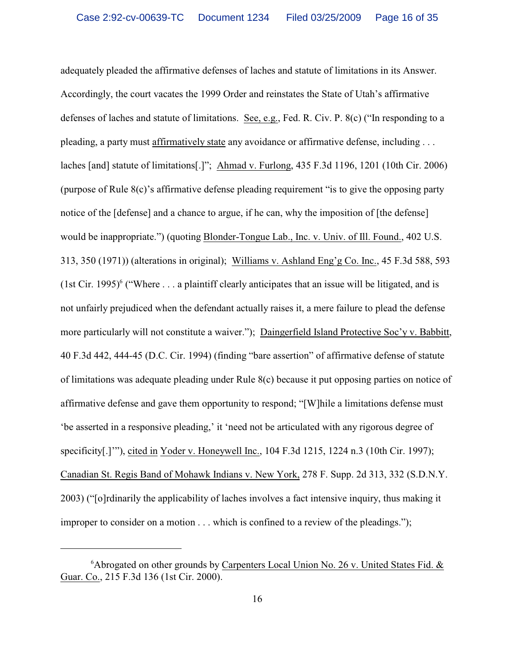adequately pleaded the affirmative defenses of laches and statute of limitations in its Answer. Accordingly, the court vacates the 1999 Order and reinstates the State of Utah's affirmative defenses of laches and statute of limitations. See, e.g., Fed. R. Civ. P. 8(c) ("In responding to a pleading, a party must affirmatively state any avoidance or affirmative defense, including . . . laches [and] statute of limitations[.]"; Ahmad v. Furlong, 435 F.3d 1196, 1201 (10th Cir. 2006) (purpose of Rule 8(c)'s affirmative defense pleading requirement "is to give the opposing party notice of the [defense] and a chance to argue, if he can, why the imposition of [the defense] would be inappropriate.") (quoting Blonder-Tongue Lab., Inc. v. Univ. of Ill. Found., 402 U.S. 313, 350 (1971)) (alterations in original); Williams v. Ashland Eng'g Co. Inc., 45 F.3d 588, 593 (1st Cir. 1995)<sup>6</sup> ("Where ... a plaintiff clearly anticipates that an issue will be litigated, and is not unfairly prejudiced when the defendant actually raises it, a mere failure to plead the defense more particularly will not constitute a waiver."); Daingerfield Island Protective Soc'y v. Babbitt, 40 F.3d 442, 444-45 (D.C. Cir. 1994) (finding "bare assertion" of affirmative defense of statute of limitations was adequate pleading under Rule 8(c) because it put opposing parties on notice of affirmative defense and gave them opportunity to respond; "[W]hile a limitations defense must 'be asserted in a responsive pleading,' it 'need not be articulated with any rigorous degree of specificity[.]'"), cited in Yoder v. Honeywell Inc., 104 F.3d 1215, 1224 n.3 (10th Cir. 1997); Canadian St. Regis Band of Mohawk Indians v. New York, 278 F. Supp. 2d 313, 332 (S.D.N.Y. 2003) ("[o]rdinarily the applicability of laches involves a fact intensive inquiry, thus making it improper to consider on a motion . . . which is confined to a review of the pleadings.");

 $6$ Abrogated on other grounds by Carpenters Local Union No. 26 v. United States Fid.  $&$ Guar. Co., 215 F.3d 136 (1st Cir. 2000).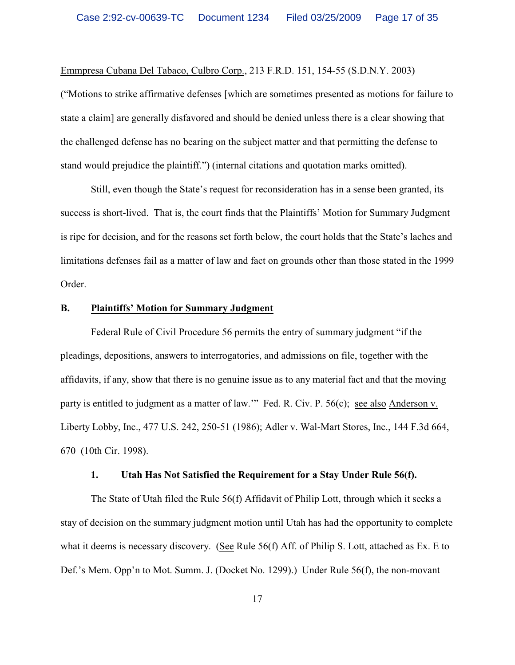Emmpresa Cubana Del Tabaco, Culbro Corp., 213 F.R.D. 151, 154-55 (S.D.N.Y. 2003)

("Motions to strike affirmative defenses [which are sometimes presented as motions for failure to state a claim] are generally disfavored and should be denied unless there is a clear showing that the challenged defense has no bearing on the subject matter and that permitting the defense to stand would prejudice the plaintiff.") (internal citations and quotation marks omitted).

Still, even though the State's request for reconsideration has in a sense been granted, its success is short-lived. That is, the court finds that the Plaintiffs' Motion for Summary Judgment is ripe for decision, and for the reasons set forth below, the court holds that the State's laches and limitations defenses fail as a matter of law and fact on grounds other than those stated in the 1999 Order.

### **B. Plaintiffs' Motion for Summary Judgment**

Federal Rule of Civil Procedure 56 permits the entry of summary judgment "if the pleadings, depositions, answers to interrogatories, and admissions on file, together with the affidavits, if any, show that there is no genuine issue as to any material fact and that the moving party is entitled to judgment as a matter of law.'" Fed. R. Civ. P. 56(c); see also Anderson v. Liberty Lobby, Inc., 477 U.S. 242, 250-51 (1986); Adler v. Wal-Mart Stores, Inc., 144 F.3d 664, 670 (10th Cir. 1998).

#### **1. Utah Has Not Satisfied the Requirement for a Stay Under Rule 56(f).**

The State of Utah filed the Rule 56(f) Affidavit of Philip Lott, through which it seeks a stay of decision on the summary judgment motion until Utah has had the opportunity to complete what it deems is necessary discovery. (See Rule 56(f) Aff. of Philip S. Lott, attached as Ex. E to Def.'s Mem. Opp'n to Mot. Summ. J. (Docket No. 1299).) Under Rule 56(f), the non-movant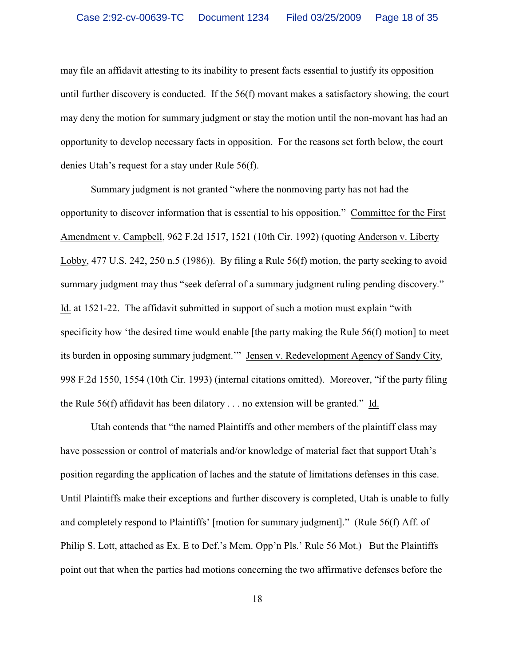may file an affidavit attesting to its inability to present facts essential to justify its opposition until further discovery is conducted. If the 56(f) movant makes a satisfactory showing, the court may deny the motion for summary judgment or stay the motion until the non-movant has had an opportunity to develop necessary facts in opposition. For the reasons set forth below, the court denies Utah's request for a stay under Rule 56(f).

Summary judgment is not granted "where the nonmoving party has not had the opportunity to discover information that is essential to his opposition." Committee for the First Amendment v. Campbell, 962 F.2d 1517, 1521 (10th Cir. 1992) (quoting Anderson v. Liberty Lobby, 477 U.S. 242, 250 n.5 (1986)). By filing a Rule 56(f) motion, the party seeking to avoid summary judgment may thus "seek deferral of a summary judgment ruling pending discovery." Id. at 1521-22. The affidavit submitted in support of such a motion must explain "with specificity how 'the desired time would enable [the party making the Rule 56(f) motion] to meet its burden in opposing summary judgment.'" Jensen v. Redevelopment Agency of Sandy City, 998 F.2d 1550, 1554 (10th Cir. 1993) (internal citations omitted). Moreover, "if the party filing the Rule 56(f) affidavit has been dilatory . . . no extension will be granted." Id.

Utah contends that "the named Plaintiffs and other members of the plaintiff class may have possession or control of materials and/or knowledge of material fact that support Utah's position regarding the application of laches and the statute of limitations defenses in this case. Until Plaintiffs make their exceptions and further discovery is completed, Utah is unable to fully and completely respond to Plaintiffs' [motion for summary judgment]." (Rule 56(f) Aff. of Philip S. Lott, attached as Ex. E to Def.'s Mem. Opp'n Pls.' Rule 56 Mot.) But the Plaintiffs point out that when the parties had motions concerning the two affirmative defenses before the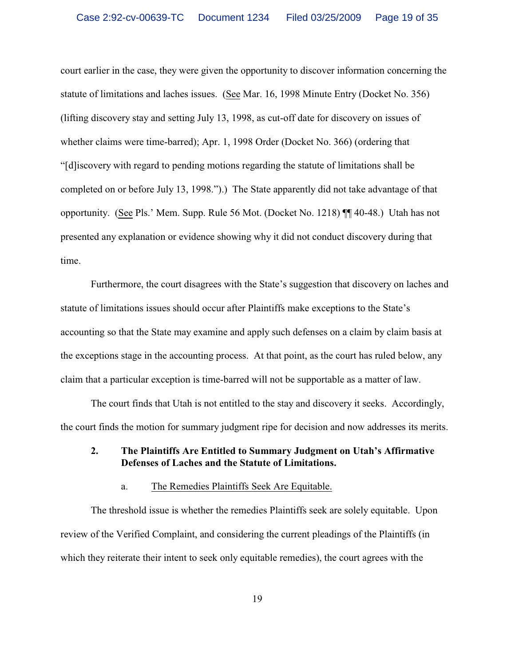court earlier in the case, they were given the opportunity to discover information concerning the statute of limitations and laches issues. (See Mar. 16, 1998 Minute Entry (Docket No. 356) (lifting discovery stay and setting July 13, 1998, as cut-off date for discovery on issues of whether claims were time-barred); Apr. 1, 1998 Order (Docket No. 366) (ordering that "[d]iscovery with regard to pending motions regarding the statute of limitations shall be completed on or before July 13, 1998.").) The State apparently did not take advantage of that opportunity. (See Pls.' Mem. Supp. Rule 56 Mot. (Docket No. 1218) ¶¶ 40-48.) Utah has not presented any explanation or evidence showing why it did not conduct discovery during that time.

Furthermore, the court disagrees with the State's suggestion that discovery on laches and statute of limitations issues should occur after Plaintiffs make exceptions to the State's accounting so that the State may examine and apply such defenses on a claim by claim basis at the exceptions stage in the accounting process. At that point, as the court has ruled below, any claim that a particular exception is time-barred will not be supportable as a matter of law.

The court finds that Utah is not entitled to the stay and discovery it seeks. Accordingly, the court finds the motion for summary judgment ripe for decision and now addresses its merits.

# **2. The Plaintiffs Are Entitled to Summary Judgment on Utah's Affirmative Defenses of Laches and the Statute of Limitations.**

#### a. The Remedies Plaintiffs Seek Are Equitable.

The threshold issue is whether the remedies Plaintiffs seek are solely equitable. Upon review of the Verified Complaint, and considering the current pleadings of the Plaintiffs (in which they reiterate their intent to seek only equitable remedies), the court agrees with the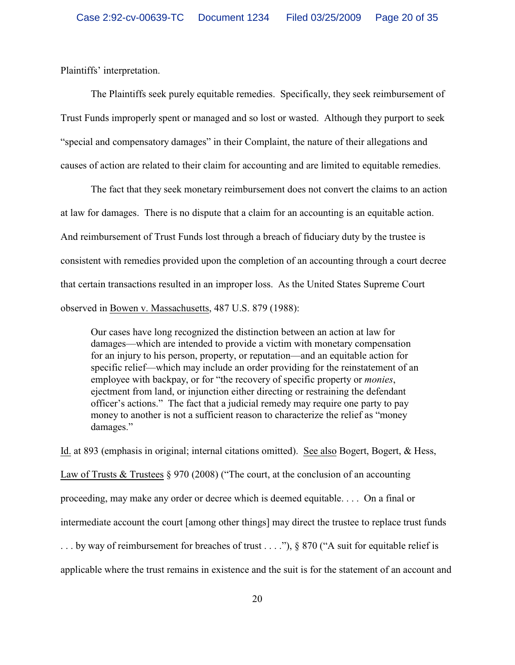Plaintiffs' interpretation.

The Plaintiffs seek purely equitable remedies. Specifically, they seek reimbursement of Trust Funds improperly spent or managed and so lost or wasted. Although they purport to seek "special and compensatory damages" in their Complaint, the nature of their allegations and causes of action are related to their claim for accounting and are limited to equitable remedies.

The fact that they seek monetary reimbursement does not convert the claims to an action at law for damages. There is no dispute that a claim for an accounting is an equitable action. And reimbursement of Trust Funds lost through a breach of fiduciary duty by the trustee is consistent with remedies provided upon the completion of an accounting through a court decree that certain transactions resulted in an improper loss. As the United States Supreme Court observed in Bowen v. Massachusetts, 487 U.S. 879 (1988):

Our cases have long recognized the distinction between an action at law for damages—which are intended to provide a victim with monetary compensation for an injury to his person, property, or reputation—and an equitable action for specific relief—which may include an order providing for the reinstatement of an employee with backpay, or for "the recovery of specific property or *monies*, ejectment from land, or injunction either directing or restraining the defendant officer's actions." The fact that a judicial remedy may require one party to pay money to another is not a sufficient reason to characterize the relief as "money damages."

Id. at 893 (emphasis in original; internal citations omitted). See also Bogert, Bogert, & Hess, Law of Trusts & Trustees § 970 (2008) ("The court, at the conclusion of an accounting proceeding, may make any order or decree which is deemed equitable. . . . On a final or intermediate account the court [among other things] may direct the trustee to replace trust funds ... by way of reimbursement for breaches of trust ...."), § 870 ("A suit for equitable relief is applicable where the trust remains in existence and the suit is for the statement of an account and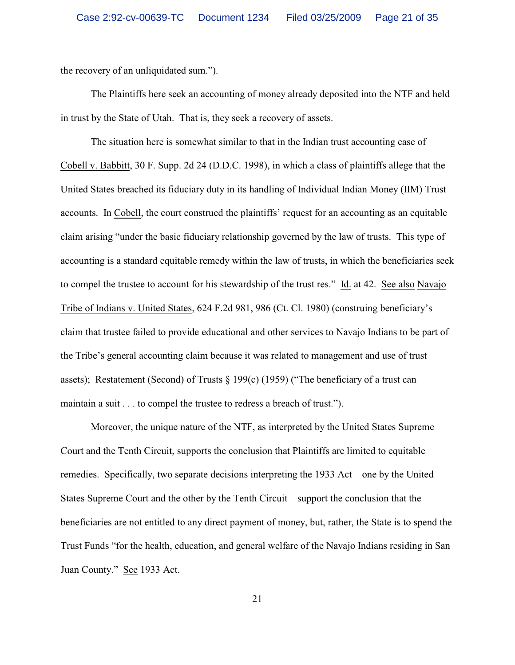the recovery of an unliquidated sum.").

The Plaintiffs here seek an accounting of money already deposited into the NTF and held in trust by the State of Utah. That is, they seek a recovery of assets.

The situation here is somewhat similar to that in the Indian trust accounting case of Cobell v. Babbitt, 30 F. Supp. 2d 24 (D.D.C. 1998), in which a class of plaintiffs allege that the United States breached its fiduciary duty in its handling of Individual Indian Money (IIM) Trust accounts. In Cobell, the court construed the plaintiffs' request for an accounting as an equitable claim arising "under the basic fiduciary relationship governed by the law of trusts. This type of accounting is a standard equitable remedy within the law of trusts, in which the beneficiaries seek to compel the trustee to account for his stewardship of the trust res." Id. at 42. See also Navajo Tribe of Indians v. United States, 624 F.2d 981, 986 (Ct. Cl. 1980) (construing beneficiary's claim that trustee failed to provide educational and other services to Navajo Indians to be part of the Tribe's general accounting claim because it was related to management and use of trust assets); Restatement (Second) of Trusts  $\S$  199(c) (1959) ("The beneficiary of a trust can maintain a suit  $\ldots$  to compel the trustee to redress a breach of trust.").

Moreover, the unique nature of the NTF, as interpreted by the United States Supreme Court and the Tenth Circuit, supports the conclusion that Plaintiffs are limited to equitable remedies. Specifically, two separate decisions interpreting the 1933 Act—one by the United States Supreme Court and the other by the Tenth Circuit—support the conclusion that the beneficiaries are not entitled to any direct payment of money, but, rather, the State is to spend the Trust Funds "for the health, education, and general welfare of the Navajo Indians residing in San Juan County." See 1933 Act.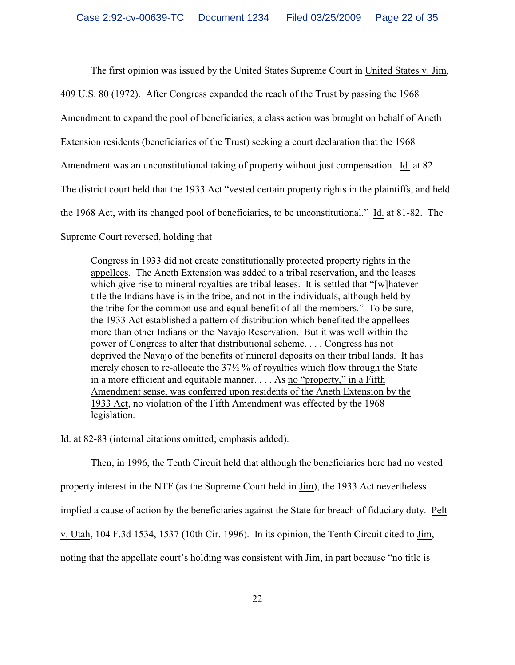The first opinion was issued by the United States Supreme Court in United States v. Jim,

409 U.S. 80 (1972). After Congress expanded the reach of the Trust by passing the 1968

Amendment to expand the pool of beneficiaries, a class action was brought on behalf of Aneth

Extension residents (beneficiaries of the Trust) seeking a court declaration that the 1968

Amendment was an unconstitutional taking of property without just compensation. Id. at 82.

The district court held that the 1933 Act "vested certain property rights in the plaintiffs, and held

the 1968 Act, with its changed pool of beneficiaries, to be unconstitutional." Id. at 81-82. The

Supreme Court reversed, holding that

Congress in 1933 did not create constitutionally protected property rights in the appellees. The Aneth Extension was added to a tribal reservation, and the leases which give rise to mineral royalties are tribal leases. It is settled that "[w]hatever title the Indians have is in the tribe, and not in the individuals, although held by the tribe for the common use and equal benefit of all the members." To be sure, the 1933 Act established a pattern of distribution which benefited the appellees more than other Indians on the Navajo Reservation. But it was well within the power of Congress to alter that distributional scheme. . . . Congress has not deprived the Navajo of the benefits of mineral deposits on their tribal lands. It has merely chosen to re-allocate the 37½ % of royalties which flow through the State in a more efficient and equitable manner. . . . As no "property," in a Fifth Amendment sense, was conferred upon residents of the Aneth Extension by the 1933 Act, no violation of the Fifth Amendment was effected by the 1968 legislation.

Id. at 82-83 (internal citations omitted; emphasis added).

Then, in 1996, the Tenth Circuit held that although the beneficiaries here had no vested

property interest in the NTF (as the Supreme Court held in  $Jim$ ), the 1933 Act nevertheless</u>

implied a cause of action by the beneficiaries against the State for breach of fiduciary duty. Pelt

v. Utah, 104 F.3d 1534, 1537 (10th Cir. 1996). In its opinion, the Tenth Circuit cited to Jim,

noting that the appellate court's holding was consistent with Jim, in part because "no title is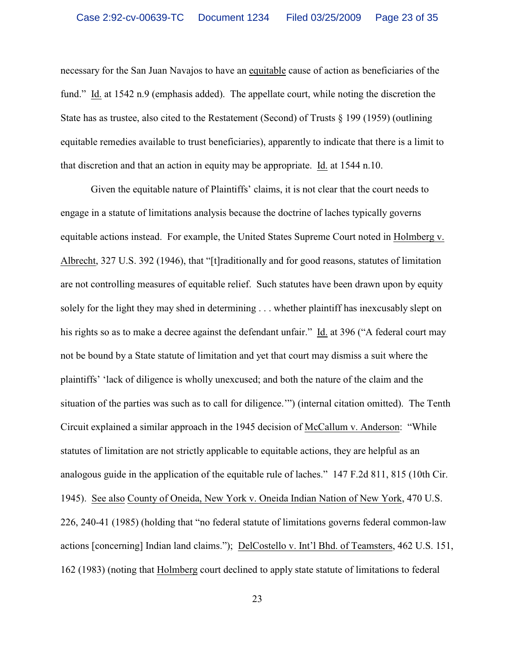necessary for the San Juan Navajos to have an equitable cause of action as beneficiaries of the fund." Id. at 1542 n.9 (emphasis added). The appellate court, while noting the discretion the State has as trustee, also cited to the Restatement (Second) of Trusts § 199 (1959) (outlining equitable remedies available to trust beneficiaries), apparently to indicate that there is a limit to that discretion and that an action in equity may be appropriate. Id. at 1544 n.10.

Given the equitable nature of Plaintiffs' claims, it is not clear that the court needs to engage in a statute of limitations analysis because the doctrine of laches typically governs equitable actions instead. For example, the United States Supreme Court noted in Holmberg v. Albrecht, 327 U.S. 392 (1946), that "[t]raditionally and for good reasons, statutes of limitation are not controlling measures of equitable relief. Such statutes have been drawn upon by equity solely for the light they may shed in determining . . . whether plaintiff has inexcusably slept on his rights so as to make a decree against the defendant unfair." Id. at 396 ("A federal court may not be bound by a State statute of limitation and yet that court may dismiss a suit where the plaintiffs' 'lack of diligence is wholly unexcused; and both the nature of the claim and the situation of the parties was such as to call for diligence.'") (internal citation omitted). The Tenth Circuit explained a similar approach in the 1945 decision of McCallum v. Anderson: "While statutes of limitation are not strictly applicable to equitable actions, they are helpful as an analogous guide in the application of the equitable rule of laches." 147 F.2d 811, 815 (10th Cir. 1945). See also County of Oneida, New York v. Oneida Indian Nation of New York, 470 U.S. 226, 240-41 (1985) (holding that "no federal statute of limitations governs federal common-law actions [concerning] Indian land claims."); DelCostello v. Int'l Bhd. of Teamsters, 462 U.S. 151, 162 (1983) (noting that Holmberg court declined to apply state statute of limitations to federal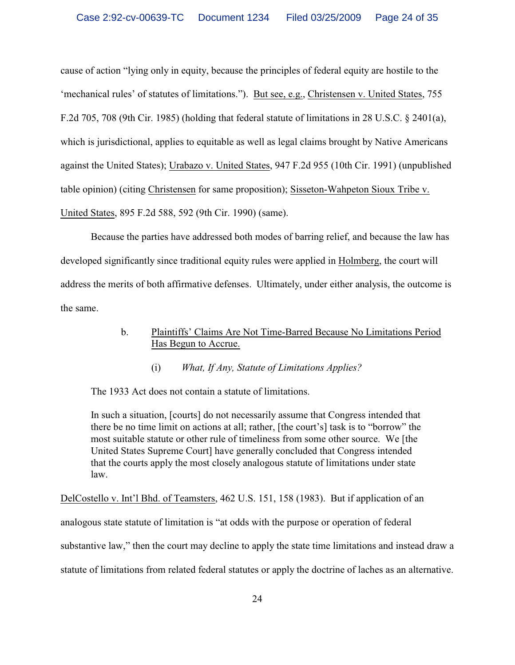cause of action "lying only in equity, because the principles of federal equity are hostile to the 'mechanical rules' of statutes of limitations."). But see, e.g., Christensen v. United States, 755 F.2d 705, 708 (9th Cir. 1985) (holding that federal statute of limitations in 28 U.S.C. § 2401(a), which is jurisdictional, applies to equitable as well as legal claims brought by Native Americans against the United States); Urabazo v. United States, 947 F.2d 955 (10th Cir. 1991) (unpublished table opinion) (citing Christensen for same proposition); Sisseton-Wahpeton Sioux Tribe v. United States, 895 F.2d 588, 592 (9th Cir. 1990) (same).

Because the parties have addressed both modes of barring relief, and because the law has developed significantly since traditional equity rules were applied in Holmberg, the court will address the merits of both affirmative defenses. Ultimately, under either analysis, the outcome is the same.

# b. Plaintiffs' Claims Are Not Time-Barred Because No Limitations Period Has Begun to Accrue.

(i) *What, If Any, Statute of Limitations Applies?*

The 1933 Act does not contain a statute of limitations.

In such a situation, [courts] do not necessarily assume that Congress intended that there be no time limit on actions at all; rather, [the court's] task is to "borrow" the most suitable statute or other rule of timeliness from some other source. We [the United States Supreme Court] have generally concluded that Congress intended that the courts apply the most closely analogous statute of limitations under state law.

DelCostello v. Int'l Bhd. of Teamsters, 462 U.S. 151, 158 (1983). But if application of an analogous state statute of limitation is "at odds with the purpose or operation of federal substantive law," then the court may decline to apply the state time limitations and instead draw a statute of limitations from related federal statutes or apply the doctrine of laches as an alternative.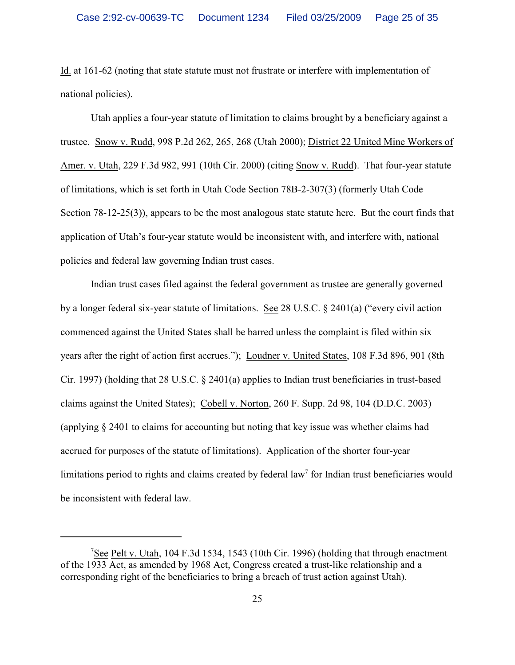Id. at 161-62 (noting that state statute must not frustrate or interfere with implementation of national policies).

Utah applies a four-year statute of limitation to claims brought by a beneficiary against a trustee. Snow v. Rudd, 998 P.2d 262, 265, 268 (Utah 2000); District 22 United Mine Workers of Amer. v. Utah, 229 F.3d 982, 991 (10th Cir. 2000) (citing Snow v. Rudd). That four-year statute of limitations, which is set forth in Utah Code Section 78B-2-307(3) (formerly Utah Code Section 78-12-25(3)), appears to be the most analogous state statute here. But the court finds that application of Utah's four-year statute would be inconsistent with, and interfere with, national policies and federal law governing Indian trust cases.

Indian trust cases filed against the federal government as trustee are generally governed by a longer federal six-year statute of limitations. See 28 U.S.C. § 2401(a) ("every civil action commenced against the United States shall be barred unless the complaint is filed within six years after the right of action first accrues."); Loudner v. United States, 108 F.3d 896, 901 (8th Cir. 1997) (holding that 28 U.S.C. § 2401(a) applies to Indian trust beneficiaries in trust-based claims against the United States); Cobell v. Norton, 260 F. Supp. 2d 98, 104 (D.D.C. 2003) (applying § 2401 to claims for accounting but noting that key issue was whether claims had accrued for purposes of the statute of limitations). Application of the shorter four-year limitations period to rights and claims created by federal law<sup>7</sup> for Indian trust beneficiaries would be inconsistent with federal law.

<sup>&</sup>lt;sup>7</sup>See Pelt v. Utah, 104 F.3d 1534, 1543 (10th Cir. 1996) (holding that through enactment of the 1933 Act, as amended by 1968 Act, Congress created a trust-like relationship and a corresponding right of the beneficiaries to bring a breach of trust action against Utah).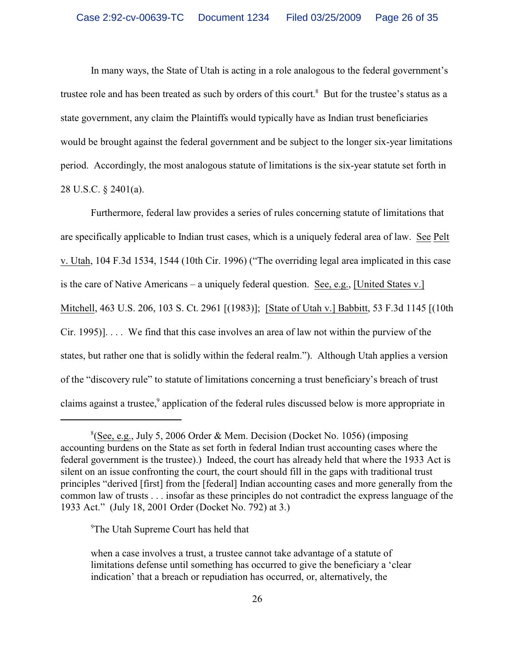In many ways, the State of Utah is acting in a role analogous to the federal government's trustee role and has been treated as such by orders of this court.<sup>8</sup> But for the trustee's status as a state government, any claim the Plaintiffs would typically have as Indian trust beneficiaries would be brought against the federal government and be subject to the longer six-year limitations period. Accordingly, the most analogous statute of limitations is the six-year statute set forth in 28 U.S.C. § 2401(a).

Furthermore, federal law provides a series of rules concerning statute of limitations that are specifically applicable to Indian trust cases, which is a uniquely federal area of law. See Pelt v. Utah, 104 F.3d 1534, 1544 (10th Cir. 1996) ("The overriding legal area implicated in this case is the care of Native Americans – a uniquely federal question. See, e.g., [United States v.] Mitchell, 463 U.S. 206, 103 S. Ct. 2961 [(1983)]; [State of Utah v.] Babbitt, 53 F.3d 1145 [(10th Cir. 1995)]. . . . We find that this case involves an area of law not within the purview of the states, but rather one that is solidly within the federal realm."). Although Utah applies a version of the "discovery rule" to statute of limitations concerning a trust beneficiary's breach of trust claims against a trustee,<sup>9</sup> application of the federal rules discussed below is more appropriate in

<sup>9</sup>The Utah Supreme Court has held that

 $^8$ (See, e.g., July 5, 2006 Order & Mem. Decision (Docket No. 1056) (imposing accounting burdens on the State as set forth in federal Indian trust accounting cases where the federal government is the trustee).) Indeed, the court has already held that where the 1933 Act is silent on an issue confronting the court, the court should fill in the gaps with traditional trust principles "derived [first] from the [federal] Indian accounting cases and more generally from the common law of trusts . . . insofar as these principles do not contradict the express language of the 1933 Act." (July 18, 2001 Order (Docket No. 792) at 3.)

when a case involves a trust, a trustee cannot take advantage of a statute of limitations defense until something has occurred to give the beneficiary a 'clear indication' that a breach or repudiation has occurred, or, alternatively, the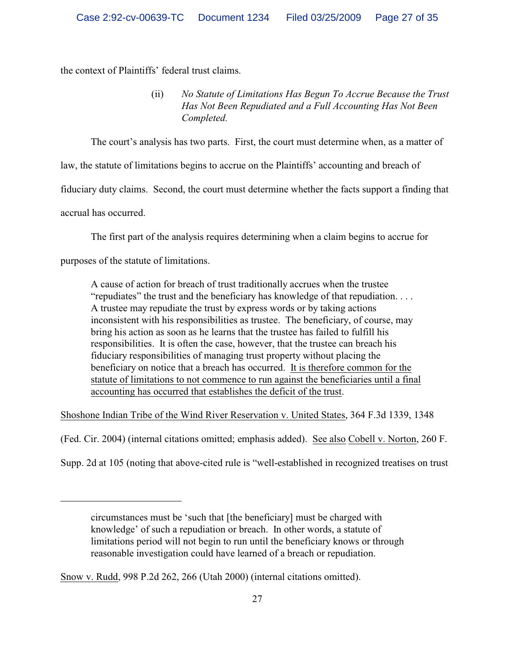the context of Plaintiffs' federal trust claims.

(ii) *No Statute of Limitations Has Begun To Accrue Because the Trust Has Not Been Repudiated and a Full Accounting Has Not Been Completed.*

The court's analysis has two parts. First, the court must determine when, as a matter of

law, the statute of limitations begins to accrue on the Plaintiffs' accounting and breach of

fiduciary duty claims. Second, the court must determine whether the facts support a finding that

accrual has occurred.

The first part of the analysis requires determining when a claim begins to accrue for

purposes of the statute of limitations.

A cause of action for breach of trust traditionally accrues when the trustee "repudiates" the trust and the beneficiary has knowledge of that repudiation. . . . A trustee may repudiate the trust by express words or by taking actions inconsistent with his responsibilities as trustee. The beneficiary, of course, may bring his action as soon as he learns that the trustee has failed to fulfill his responsibilities. It is often the case, however, that the trustee can breach his fiduciary responsibilities of managing trust property without placing the beneficiary on notice that a breach has occurred. It is therefore common for the statute of limitations to not commence to run against the beneficiaries until a final accounting has occurred that establishes the deficit of the trust.

Shoshone Indian Tribe of the Wind River Reservation v. United States, 364 F.3d 1339, 1348

(Fed. Cir. 2004) (internal citations omitted; emphasis added). See also Cobell v. Norton, 260 F.

Supp. 2d at 105 (noting that above-cited rule is "well-established in recognized treatises on trust

circumstances must be 'such that [the beneficiary] must be charged with knowledge' of such a repudiation or breach. In other words, a statute of limitations period will not begin to run until the beneficiary knows or through reasonable investigation could have learned of a breach or repudiation.

Snow v. Rudd, 998 P.2d 262, 266 (Utah 2000) (internal citations omitted).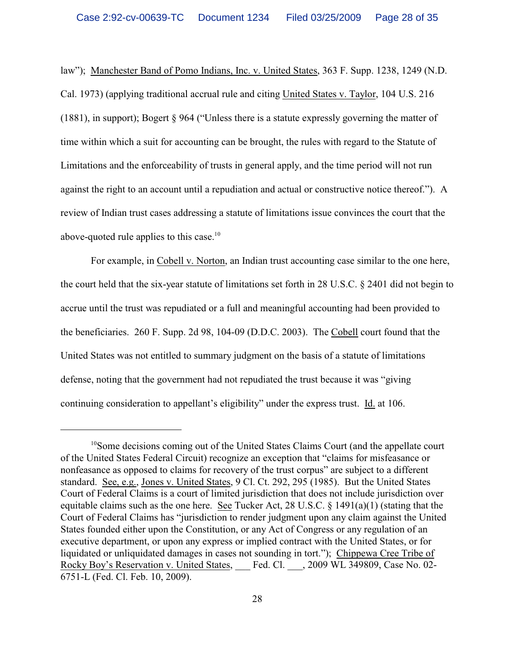law"); Manchester Band of Pomo Indians, Inc. v. United States, 363 F. Supp. 1238, 1249 (N.D. Cal. 1973) (applying traditional accrual rule and citing United States v. Taylor, 104 U.S. 216 (1881), in support); Bogert § 964 ("Unless there is a statute expressly governing the matter of time within which a suit for accounting can be brought, the rules with regard to the Statute of Limitations and the enforceability of trusts in general apply, and the time period will not run against the right to an account until a repudiation and actual or constructive notice thereof."). A review of Indian trust cases addressing a statute of limitations issue convinces the court that the above-quoted rule applies to this case.<sup>10</sup>

For example, in Cobell v. Norton, an Indian trust accounting case similar to the one here, the court held that the six-year statute of limitations set forth in 28 U.S.C. § 2401 did not begin to accrue until the trust was repudiated or a full and meaningful accounting had been provided to the beneficiaries. 260 F. Supp. 2d 98, 104-09 (D.D.C. 2003). The Cobell court found that the United States was not entitled to summary judgment on the basis of a statute of limitations defense, noting that the government had not repudiated the trust because it was "giving continuing consideration to appellant's eligibility" under the express trust. Id. at 106.

<sup>&</sup>lt;sup>10</sup>Some decisions coming out of the United States Claims Court (and the appellate court of the United States Federal Circuit) recognize an exception that "claims for misfeasance or nonfeasance as opposed to claims for recovery of the trust corpus" are subject to a different standard. See, e.g., Jones v. United States, 9 Cl. Ct. 292, 295 (1985). But the United States Court of Federal Claims is a court of limited jurisdiction that does not include jurisdiction over equitable claims such as the one here. See Tucker Act, 28 U.S.C. § 1491(a)(1) (stating that the Court of Federal Claims has "jurisdiction to render judgment upon any claim against the United States founded either upon the Constitution, or any Act of Congress or any regulation of an executive department, or upon any express or implied contract with the United States, or for liquidated or unliquidated damages in cases not sounding in tort."); Chippewa Cree Tribe of Rocky Boy's Reservation v. United States, Fed. Cl. , 2009 WL 349809, Case No. 02-6751-L (Fed. Cl. Feb. 10, 2009).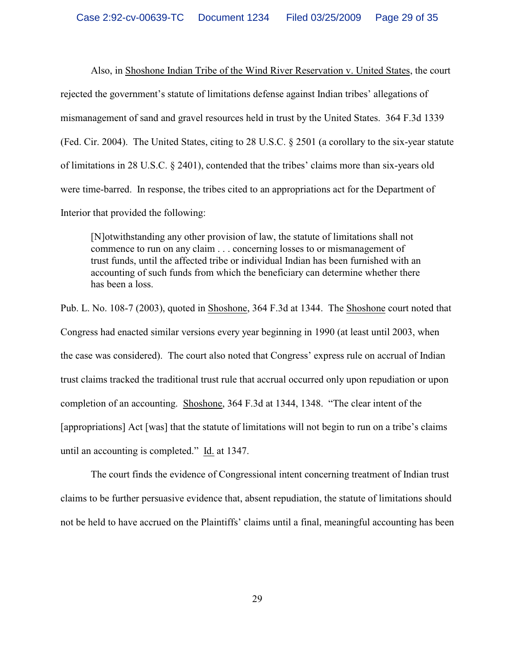Also, in Shoshone Indian Tribe of the Wind River Reservation v. United States, the court rejected the government's statute of limitations defense against Indian tribes' allegations of mismanagement of sand and gravel resources held in trust by the United States. 364 F.3d 1339 (Fed. Cir. 2004). The United States, citing to 28 U.S.C. § 2501 (a corollary to the six-year statute of limitations in 28 U.S.C. § 2401), contended that the tribes' claims more than six-years old were time-barred. In response, the tribes cited to an appropriations act for the Department of Interior that provided the following:

[N]otwithstanding any other provision of law, the statute of limitations shall not commence to run on any claim . . . concerning losses to or mismanagement of trust funds, until the affected tribe or individual Indian has been furnished with an accounting of such funds from which the beneficiary can determine whether there has been a loss.

Pub. L. No. 108-7 (2003), quoted in Shoshone, 364 F.3d at 1344. The Shoshone court noted that Congress had enacted similar versions every year beginning in 1990 (at least until 2003, when the case was considered). The court also noted that Congress' express rule on accrual of Indian trust claims tracked the traditional trust rule that accrual occurred only upon repudiation or upon completion of an accounting. Shoshone, 364 F.3d at 1344, 1348. "The clear intent of the [appropriations] Act [was] that the statute of limitations will not begin to run on a tribe's claims until an accounting is completed." Id. at 1347.

The court finds the evidence of Congressional intent concerning treatment of Indian trust claims to be further persuasive evidence that, absent repudiation, the statute of limitations should not be held to have accrued on the Plaintiffs' claims until a final, meaningful accounting has been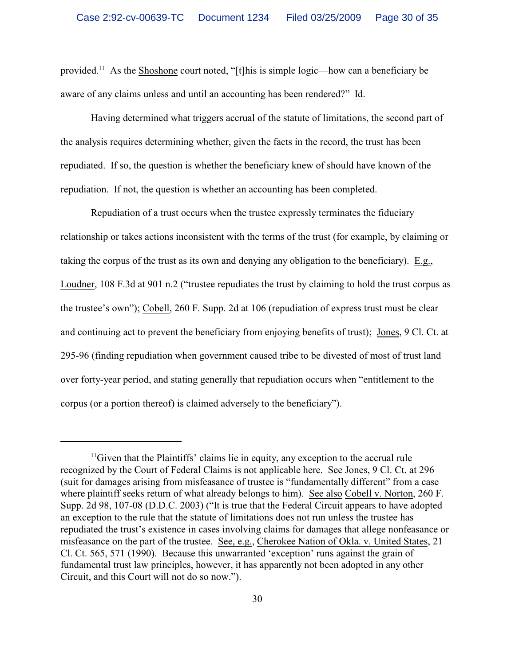provided.<sup>11</sup> As the Shoshone court noted, "[t]his is simple logic—how can a beneficiary be aware of any claims unless and until an accounting has been rendered?" Id.

Having determined what triggers accrual of the statute of limitations, the second part of the analysis requires determining whether, given the facts in the record, the trust has been repudiated. If so, the question is whether the beneficiary knew of should have known of the repudiation. If not, the question is whether an accounting has been completed.

Repudiation of a trust occurs when the trustee expressly terminates the fiduciary relationship or takes actions inconsistent with the terms of the trust (for example, by claiming or taking the corpus of the trust as its own and denying any obligation to the beneficiary). E.g., Loudner, 108 F.3d at 901 n.2 ("trustee repudiates the trust by claiming to hold the trust corpus as the trustee's own"); Cobell, 260 F. Supp. 2d at 106 (repudiation of express trust must be clear and continuing act to prevent the beneficiary from enjoying benefits of trust); Jones, 9 Cl. Ct. at 295-96 (finding repudiation when government caused tribe to be divested of most of trust land over forty-year period, and stating generally that repudiation occurs when "entitlement to the corpus (or a portion thereof) is claimed adversely to the beneficiary").

 $\mu$ <sup>11</sup>Given that the Plaintiffs' claims lie in equity, any exception to the accrual rule recognized by the Court of Federal Claims is not applicable here. See Jones, 9 Cl. Ct. at 296 (suit for damages arising from misfeasance of trustee is "fundamentally different" from a case where plaintiff seeks return of what already belongs to him). See also Cobell v. Norton, 260 F. Supp. 2d 98, 107-08 (D.D.C. 2003) ("It is true that the Federal Circuit appears to have adopted an exception to the rule that the statute of limitations does not run unless the trustee has repudiated the trust's existence in cases involving claims for damages that allege nonfeasance or misfeasance on the part of the trustee. See, e.g., Cherokee Nation of Okla. v. United States, 21 Cl. Ct. 565, 571 (1990). Because this unwarranted 'exception' runs against the grain of fundamental trust law principles, however, it has apparently not been adopted in any other Circuit, and this Court will not do so now.").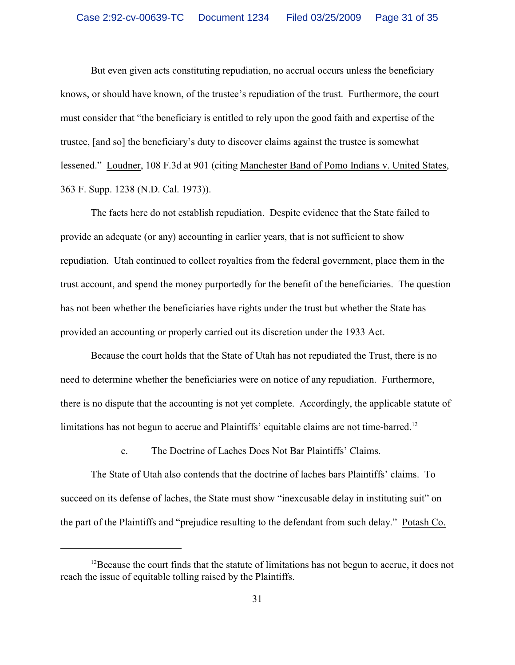But even given acts constituting repudiation, no accrual occurs unless the beneficiary knows, or should have known, of the trustee's repudiation of the trust. Furthermore, the court must consider that "the beneficiary is entitled to rely upon the good faith and expertise of the trustee, [and so] the beneficiary's duty to discover claims against the trustee is somewhat lessened." Loudner, 108 F.3d at 901 (citing Manchester Band of Pomo Indians v. United States, 363 F. Supp. 1238 (N.D. Cal. 1973)).

The facts here do not establish repudiation. Despite evidence that the State failed to provide an adequate (or any) accounting in earlier years, that is not sufficient to show repudiation. Utah continued to collect royalties from the federal government, place them in the trust account, and spend the money purportedly for the benefit of the beneficiaries. The question has not been whether the beneficiaries have rights under the trust but whether the State has provided an accounting or properly carried out its discretion under the 1933 Act.

Because the court holds that the State of Utah has not repudiated the Trust, there is no need to determine whether the beneficiaries were on notice of any repudiation. Furthermore, there is no dispute that the accounting is not yet complete. Accordingly, the applicable statute of limitations has not begun to accrue and Plaintiffs' equitable claims are not time-barred.<sup>12</sup>

# c. The Doctrine of Laches Does Not Bar Plaintiffs' Claims.

The State of Utah also contends that the doctrine of laches bars Plaintiffs' claims. To succeed on its defense of laches, the State must show "inexcusable delay in instituting suit" on the part of the Plaintiffs and "prejudice resulting to the defendant from such delay." Potash Co.

 $^{12}$ Because the court finds that the statute of limitations has not begun to accrue, it does not reach the issue of equitable tolling raised by the Plaintiffs.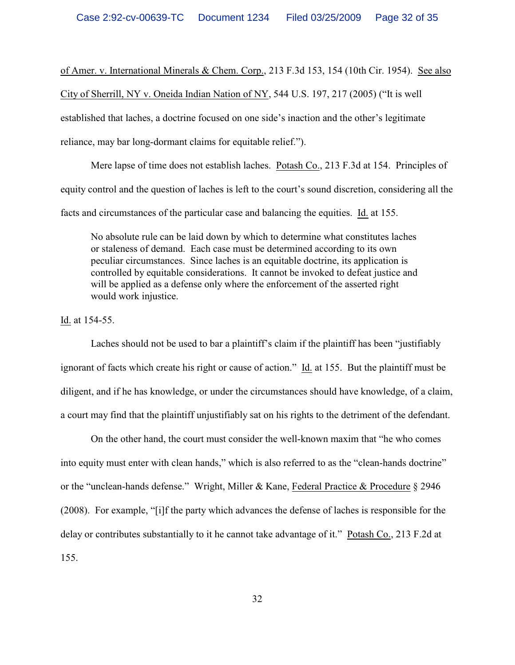of Amer. v. International Minerals & Chem. Corp., 213 F.3d 153, 154 (10th Cir. 1954). See also City of Sherrill, NY v. Oneida Indian Nation of NY, 544 U.S. 197, 217 (2005) ("It is well established that laches, a doctrine focused on one side's inaction and the other's legitimate reliance, may bar long-dormant claims for equitable relief.").

Mere lapse of time does not establish laches. Potash Co., 213 F.3d at 154. Principles of equity control and the question of laches is left to the court's sound discretion, considering all the facts and circumstances of the particular case and balancing the equities. Id. at 155.

No absolute rule can be laid down by which to determine what constitutes laches or staleness of demand. Each case must be determined according to its own peculiar circumstances. Since laches is an equitable doctrine, its application is controlled by equitable considerations. It cannot be invoked to defeat justice and will be applied as a defense only where the enforcement of the asserted right would work injustice.

Id. at 154-55.

Laches should not be used to bar a plaintiff's claim if the plaintiff has been "justifiably ignorant of facts which create his right or cause of action." Id. at 155. But the plaintiff must be diligent, and if he has knowledge, or under the circumstances should have knowledge, of a claim, a court may find that the plaintiff unjustifiably sat on his rights to the detriment of the defendant.

On the other hand, the court must consider the well-known maxim that "he who comes into equity must enter with clean hands," which is also referred to as the "clean-hands doctrine" or the "unclean-hands defense." Wright, Miller & Kane, Federal Practice & Procedure § 2946 (2008). For example, "[i]f the party which advances the defense of laches is responsible for the delay or contributes substantially to it he cannot take advantage of it." Potash Co., 213 F.2d at 155.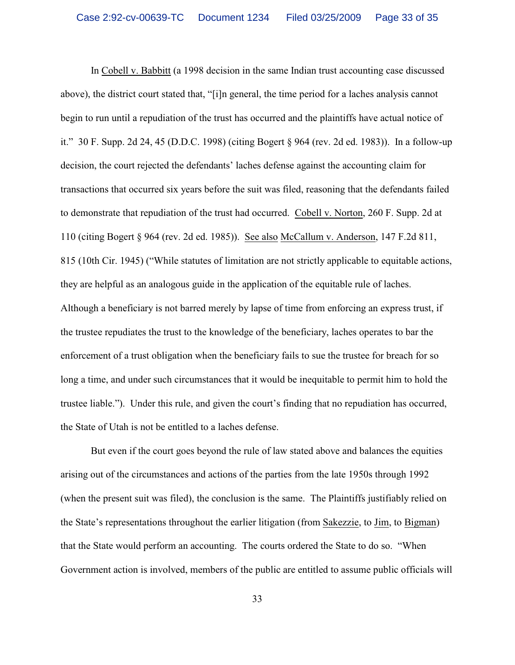In Cobell v. Babbitt (a 1998 decision in the same Indian trust accounting case discussed above), the district court stated that, "[i]n general, the time period for a laches analysis cannot begin to run until a repudiation of the trust has occurred and the plaintiffs have actual notice of it." 30 F. Supp. 2d 24, 45 (D.D.C. 1998) (citing Bogert § 964 (rev. 2d ed. 1983)). In a follow-up decision, the court rejected the defendants' laches defense against the accounting claim for transactions that occurred six years before the suit was filed, reasoning that the defendants failed to demonstrate that repudiation of the trust had occurred. Cobell v. Norton, 260 F. Supp. 2d at 110 (citing Bogert § 964 (rev. 2d ed. 1985)). See also McCallum v. Anderson, 147 F.2d 811, 815 (10th Cir. 1945) ("While statutes of limitation are not strictly applicable to equitable actions, they are helpful as an analogous guide in the application of the equitable rule of laches. Although a beneficiary is not barred merely by lapse of time from enforcing an express trust, if the trustee repudiates the trust to the knowledge of the beneficiary, laches operates to bar the enforcement of a trust obligation when the beneficiary fails to sue the trustee for breach for so long a time, and under such circumstances that it would be inequitable to permit him to hold the trustee liable."). Under this rule, and given the court's finding that no repudiation has occurred, the State of Utah is not be entitled to a laches defense.

But even if the court goes beyond the rule of law stated above and balances the equities arising out of the circumstances and actions of the parties from the late 1950s through 1992 (when the present suit was filed), the conclusion is the same. The Plaintiffs justifiably relied on the State's representations throughout the earlier litigation (from Sakezzie, to Jim, to Bigman) that the State would perform an accounting. The courts ordered the State to do so. "When Government action is involved, members of the public are entitled to assume public officials will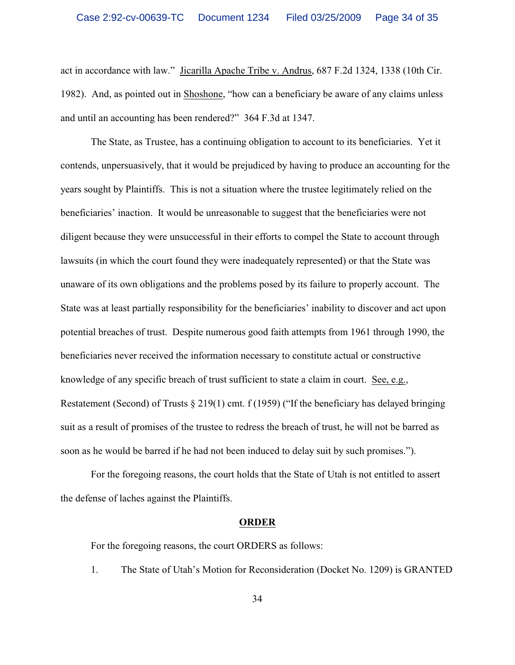act in accordance with law." Jicarilla Apache Tribe v. Andrus, 687 F.2d 1324, 1338 (10th Cir. 1982). And, as pointed out in Shoshone, "how can a beneficiary be aware of any claims unless and until an accounting has been rendered?" 364 F.3d at 1347.

The State, as Trustee, has a continuing obligation to account to its beneficiaries. Yet it contends, unpersuasively, that it would be prejudiced by having to produce an accounting for the years sought by Plaintiffs. This is not a situation where the trustee legitimately relied on the beneficiaries' inaction. It would be unreasonable to suggest that the beneficiaries were not diligent because they were unsuccessful in their efforts to compel the State to account through lawsuits (in which the court found they were inadequately represented) or that the State was unaware of its own obligations and the problems posed by its failure to properly account. The State was at least partially responsibility for the beneficiaries' inability to discover and act upon potential breaches of trust. Despite numerous good faith attempts from 1961 through 1990, the beneficiaries never received the information necessary to constitute actual or constructive knowledge of any specific breach of trust sufficient to state a claim in court. See, e.g., Restatement (Second) of Trusts  $\S 219(1)$  cmt. f (1959) ("If the beneficiary has delayed bringing suit as a result of promises of the trustee to redress the breach of trust, he will not be barred as soon as he would be barred if he had not been induced to delay suit by such promises.").

For the foregoing reasons, the court holds that the State of Utah is not entitled to assert the defense of laches against the Plaintiffs.

#### **ORDER**

For the foregoing reasons, the court ORDERS as follows:

1. The State of Utah's Motion for Reconsideration (Docket No. 1209) is GRANTED